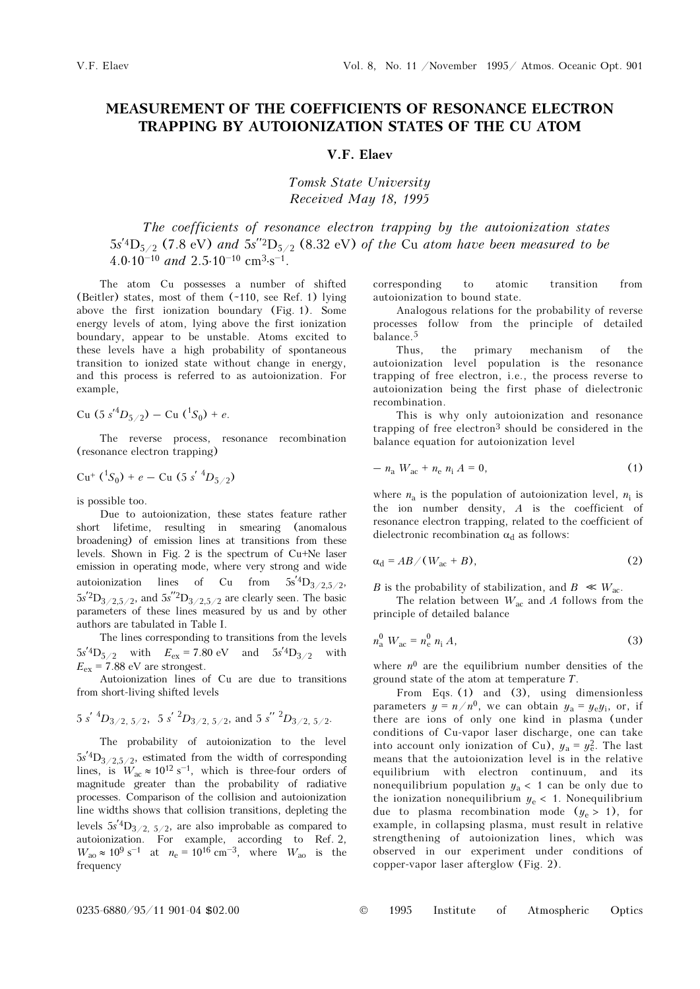## MEASUREMENT OF THE COEFFICIENTS OF RESONANCE ELECTRON TRAPPING BY AUTOIONIZATION STATES OF THE CU ATOM

## V.F. Elaev

Tomsk State University Received May 18, 1995

The coefficients of resonance electron trapping by the autoionization states The coefficients of resonance electron trapping by the autoionization states 5s<sup>'4</sup>D<sub>5/2</sub> (7.8 eV) and 5s<sup>'2</sup>D<sub>5/2</sub> (8.32 eV) of the Cu atom have been measured to be The coefficients of re<br>5s<sup>'4</sup>D<sub>5/2</sub> (7.8 eV) and 5s<sup>''2</sup>E<br>4.0⋅10<sup>-10</sup> and 2.5⋅10<sup>-10</sup> cm<sup>3</sup>⋅s</sub> 4.0.10<sup>-10</sup> and 2.5.10<sup>-10</sup> cm<sup>3</sup>·s<sup>-1</sup>.

The atom Cu possesses a number of shifted (Beitler) states, most of them (~110, see Ref. 1) lying above the first ionization boundary (Fig. 1). Some energy levels of atom, lying above the first ionization boundary, appear to be unstable. Atoms excited to these levels have a high probability of spontaneous transition to ionized state without change in energy, and this process is referred to as autoionization. For example,

Cu  $(5 s'^4 D_{5/2}) -$ Cu  $(^1S_0) + e$ .

The reverse process, resonance recombination (resonance electron trapping)

$$
Cu^{+}({}^{1}S_{0})+e-Cu(5 s' {}^{4}D_{5/2})
$$

is possible too.

Due to autoionization, these states feature rather short lifetime, resulting in smearing (anomalous broadening) of emission lines at transitions from these levels. Shown in Fig. 2 is the spectrum of Cu+Ne laser emission in operating mode, where very strong and wide autoionization lines of Cu from  $5s^2D_{3/2,5/2}$ ,  $5s<sup>2</sup>D<sub>3/2,5/2</sub>$ , and  $5s<sup>2</sup>D<sub>3/2,5/2</sub>$  are clearly seen. The basic parameters of these lines measured by us and by other authors are tabulated in Table I.

The lines corresponding to transitions from the levels  $5s'4D_{5/2}$  with  $E_{ex} = 7.80 \text{ eV}$  and  $5s'4D_{3/2}$  with  $E_{\text{ex}}$  = 7.88 eV are strongest.

Autoionization lines of Cu are due to transitions from short-living shifted levels

$$
5 s' {}^{4}D_{3/2, 5/2}
$$
,  $5 s' {}^{2}D_{3/2, 5/2}$ , and  $5 s'' {}^{2}D_{3/2, 5/2}$ .

The probability of autoionization to the level  $5s'_{1}D_{3/2,5/2}$ , estimated from the width of corresponding The probability of autoionization to the level<br>5s<sup>7</sup>4D<sub>3/2,5/2</sub>, estimated from the width of corresponding<br>lines, is  $W_{ac} \approx 10^{12} \text{ s}^{-1}$ , which is three-four orders of magnitude greater than the probability of radiative processes. Comparison of the collision and autoionization line widths shows that collision transitions, depleting the levels  $5s'_{1}D_{3/2, 5/2}$ , are also improbable as compared to autoionization. For example, according to Ref. 2, line widths shows that collision transitions, depleting the<br>levels  $5s^7D_{3/2}$ ,  $5/2$ , are also improbable as compared to<br>autoionization. For example, according to Ref. 2,<br> $W_{\text{ao}} \approx 10^9 \text{ s}^{-1}$  at  $n_e = 10^{16} \text{ cm}^{-3}$ frequency

corresponding to atomic transition from autoionization to bound state.

Analogous relations for the probability of reverse processes follow from the principle of detailed balance.<sup>5</sup>

Thus, the primary mechanism of the autoionization level population is the resonance trapping of free electron, i.e., the process reverse to autoionization being the first phase of dielectronic recombination.

This is why only autoionization and resonance trapping of free electron<sup>3</sup> should be considered in the balance equation for autoionization level

$$
- n_{\rm a} W_{\rm ac} + n_{\rm e} n_{\rm i} A = 0, \tag{1}
$$

where  $n_a$  is the population of autoionization level,  $n_i$  is the ion number density,  $A$  is the coefficient of resonance electron trapping, related to the coefficient of dielectronic recombination  $\alpha_d$  as follows:

$$
\alpha_{\rm d} = AB / (W_{\rm ac} + B),\tag{2}
$$

B is the probability of stabilization, and  $B \ll W_{ac}$ .

The relation between  $W_{ac}$  and A follows from the principle of detailed balance

$$
n_a^0 W_{ac} = n_e^0 n_i A,
$$
 (3)

where  $n^0$  are the equilibrium number densities of the ground state of the atom at temperature T.

From Eqs. (1) and (3), using dimensionless parameters  $y = n/n^0$ , we can obtain  $y_a = y_e y_i$ , or, if there are ions of only one kind in plasma (under conditions of Cu-vapor laser discharge, one can take into account only ionization of Cu),  $y_a = y_e^2$ . The last means that the autoionization level is in the relative equilibrium with electron continuum, and its nonequilibrium population  $y_a < 1$  can be only due to the ionization nonequilibrium  $y_e < 1$ . Nonequilibrium due to plasma recombination mode  $(y_e > 1)$ , for example, in collapsing plasma, must result in relative strengthening of autoionization lines, which was observed in our experiment under conditions of copper-vapor laser afterglow (Fig. 2).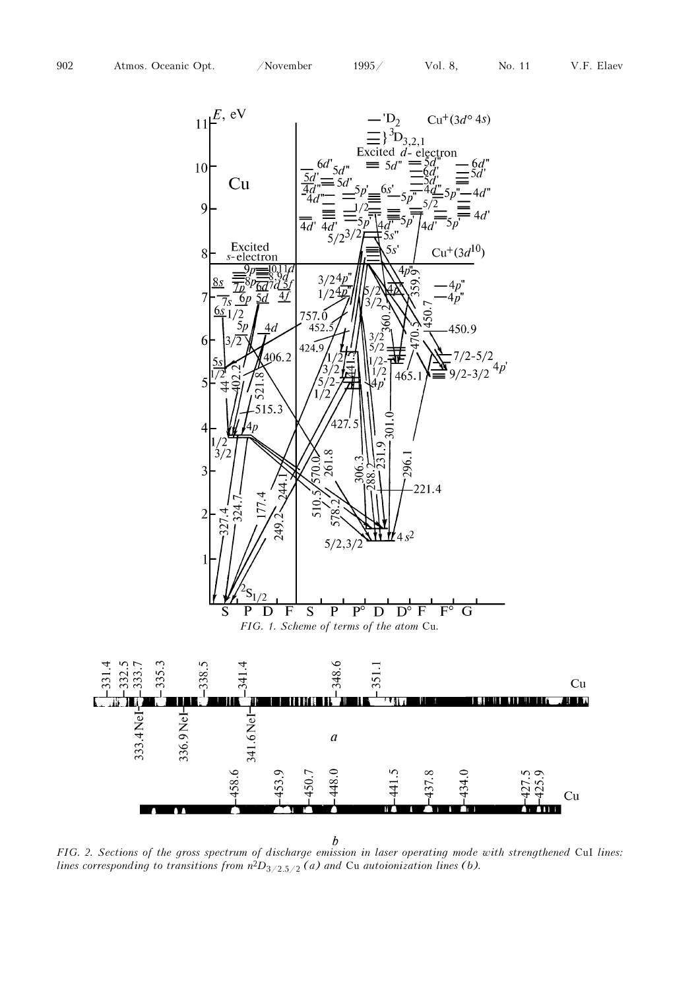

FIG. 2. Sections of the gross spectrum of discharge emission in laser operating mode with strengthened CuI lines: lines corresponding to transitions from  $n^2D_{3/2,5/2}$  (a) and Cu autoionization lines (b).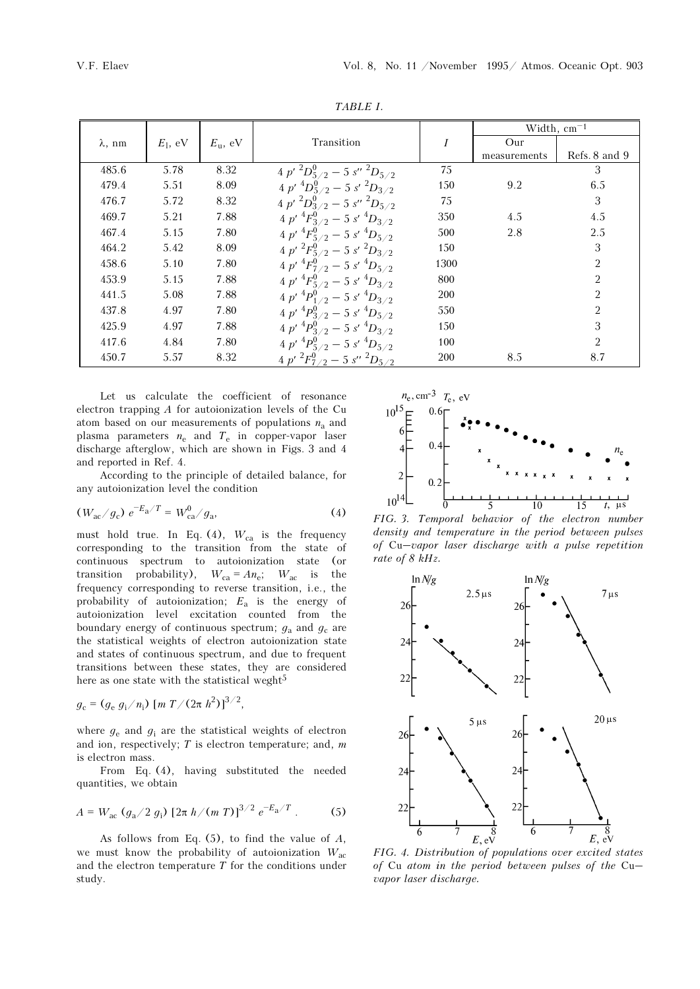| TABLE I.       |            |                  |                                            |            |                  |                |  |  |
|----------------|------------|------------------|--------------------------------------------|------------|------------------|----------------|--|--|
|                |            |                  |                                            |            | Width, $cm^{-1}$ |                |  |  |
| $\lambda$ , nm | $E_1$ , eV | $E_{\rm u}$ , eV | Transition                                 | I          | Our              |                |  |  |
|                |            |                  |                                            |            | measurements     | Refs. 8 and 9  |  |  |
| 485.6          | 5.78       | 8.32             | 4 p' ${}^2D_{5/2}^0$ – 5 s'' ${}^2D_{5/2}$ | 75         |                  | 3              |  |  |
| 479.4          | 5.51       | 8.09             | $4 p'^4 D_{5/2}^0 - 5 s'^2 D_{3/2}$        | 150        | 9.2              | 6.5            |  |  |
| 476.7          | 5.72       | 8.32             | $4 p'^2 D_{3/2}^0 - 5 s''^2 D_{5/2}$       | 75         |                  | 3              |  |  |
| 469.7          | 5.21       | 7.88             | $4 p'^4 F_{3/2}^0 - 5 s'^4 D_{3/2}$        | 350        | 4.5              | 4.5            |  |  |
| 467.4          | 5.15       | 7.80             | 4 p' ${}^4F^0_{5/2}$ – 5 s' ${}^4D_{5/2}$  | 500        | 2.8              | 2.5            |  |  |
| 464.2          | 5.42       | 8.09             | $4 p'^2 F_{5/2}^0 - 5 s'^2 D_{3/2}$        | 150        |                  | 3              |  |  |
| 458.6          | 5.10       | 7.80             | 4 p' ${}^4F^0_{7/2}$ – 5 s' ${}^4D_{5/2}$  | 1300       |                  | $\overline{2}$ |  |  |
| 453.9          | 5.15       | 7.88             | $4 p'^4 F_{5/2}^0 - 5 s'^4 D_{3/2}$        | 800        |                  | $\overline{2}$ |  |  |
| 441.5          | 5.08       | 7.88             | $4 p'^4 P_{1/2}^0 - 5 s'^4 D_{3/2}$        | 200        |                  | $\overline{2}$ |  |  |
| 437.8          | 4.97       | 7.80             | $4 p'^4 P_{3/2}^0 - 5 s'^4 D_{5/2}$        | 550        |                  | $\overline{2}$ |  |  |
| 425.9          | 4.97       | 7.88             | $4 p' {}^4P^0_{3/2} - 5 s' {}^4D_{3/2}$    | 150        |                  | 3              |  |  |
| 417.6          | 4.84       | 7.80             | $4 p'^4 P_{5/2}^0 - 5 s'^4 D_{5/2}$        | 100        |                  | $\overline{2}$ |  |  |
| 450.7          | 5.57       | 8.32             | 4 p' ${}^2F^0_{7/2}$ – 5 s'' ${}^2D_{5/2}$ | <b>200</b> | 8.5              | 8.7            |  |  |

TABLE I.

Let us calculate the coefficient of resonance electron trapping A for autoionization levels of the Cu atom based on our measurements of populations  $n_a$  and plasma parameters  $n_e$  and  $T_e$  in copper-vapor laser discharge afterglow, which are shown in Figs. 3 and 4 and reported in Ref. 4. –

According to the principle of detailed balance, for any autoionization level the condition

$$
(W_{ac}/g_c) e^{-E_a/T} = W_{ca}^0/g_a,
$$
 (4)

must hold true. In Eq. (4),  $W_{ca}$  is the frequency corresponding to the transition from the state of continuous spectrum to autoionization state (or transition probability),  $W_{ca} = An_e$ ;  $W_{ac}$  is the frequency corresponding to reverse transition, i.e., the probability of autoionization;  $E_a$  is the energy of autoionization level excitation counted from the boundary energy of continuous spectrum;  $g_a$  and  $g_c$  are the statistical weights of electron autoionization state and states of continuous spectrum, and due to frequent transitions between these states, they are considered here as one state with the statistical weght<sup>5</sup>

$$
g_{\rm c} = (g_{\rm e} \, g_{\rm i}/n_{\rm i}) \, [m \, T/(2\pi \, h^2)]^{3/2},
$$

where  $g_e$  and  $g_i$  are the statistical weights of electron and ion, respectively;  $T$  is electron temperature; and,  $m$ is electron mass.

From Eq. (4), having substituted the needed quantities, we obtain

$$
A = W_{\text{ac}} (g_{\text{a}}/2 g_{\text{i}}) [2\pi h/(m T)]^{3/2} e^{-E_{\text{a}}/T}.
$$
 (5)

As follows from Eq.  $(5)$ , to find the value of  $A$ , we must know the probability of autoionization  $W_{ac}$ and the electron temperature  $T$  for the conditions under study.



FIG. 3. Temporal behavior of the electron number density and temperature in the period between pulses of Cu–vapor laser discharge with a pulse repetition rate of 8 kHz.



FIG. 4. Distribution of populations over excited states of Cu atom in the period between pulses of the Cu– vapor laser discharge.